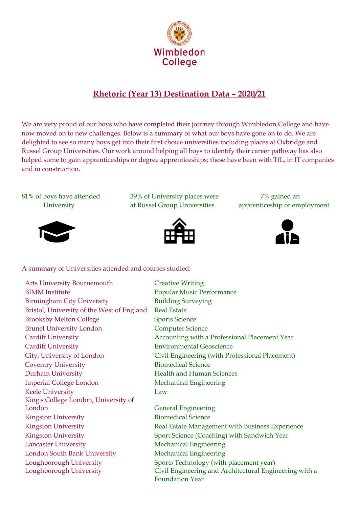

## **Rhetoric (Year 13) Destination Data – 2020/21**

We are very proud of our boys who have completed their journey through Wimbledon College and have now moved on to new challenges. Below is a summary of what our boys have gone on to do. We are delighted to see so many boys get into their first choice universities including places at Oxbridge and Russel Group Universities. Our work around helping all boys to identify their career pathway has also helped some to gain apprenticeships or degree apprenticeships; these have been with TfL, in IT companies and in construction.

81% of boys have attended 39% of University places were 7% gained an



University at Russel Group Universities apprenticeship or employment





A summary of Universities attended and courses studied:

| <b>Arts University Bournemouth</b>         | <b>Creative Writing</b>                                |
|--------------------------------------------|--------------------------------------------------------|
| <b>BIMM</b> Institute                      | <b>Popular Music Performance</b>                       |
| <b>Birmingham City University</b>          | <b>Building Surveying</b>                              |
| Bristol, University of the West of England | <b>Real Estate</b>                                     |
| <b>Brooksby Melton College</b>             | <b>Sports Science</b>                                  |
| <b>Brunel University London</b>            | <b>Computer Science</b>                                |
| <b>Cardiff University</b>                  | Accounting with a Professional Placement Year          |
| <b>Cardiff University</b>                  | <b>Environmental Geoscience</b>                        |
| City, University of London                 | Civil Engineering (with Professional Placement)        |
| <b>Coventry University</b>                 | <b>Biomedical Science</b>                              |
| <b>Durham University</b>                   | <b>Health and Human Sciences</b>                       |
| <b>Imperial College London</b>             | <b>Mechanical Engineering</b>                          |
| <b>Keele University</b>                    | Law                                                    |
| King's College London, University of       |                                                        |
| London                                     | <b>General Engineering</b>                             |
| <b>Kingston University</b>                 | <b>Biomedical Science</b>                              |
| <b>Kingston University</b>                 | Real Estate Management with Business Experience        |
| <b>Kingston University</b>                 | Sport Science (Coaching) with Sandwich Year            |
| <b>Lancaster University</b>                | <b>Mechanical Engineering</b>                          |
| London South Bank University               | <b>Mechanical Engineering</b>                          |
| Loughborough University                    | Sports Technology (with placement year)                |
| Loughborough University                    | Civil Engineering and Architectural Engineering with a |
|                                            | <b>Foundation Year</b>                                 |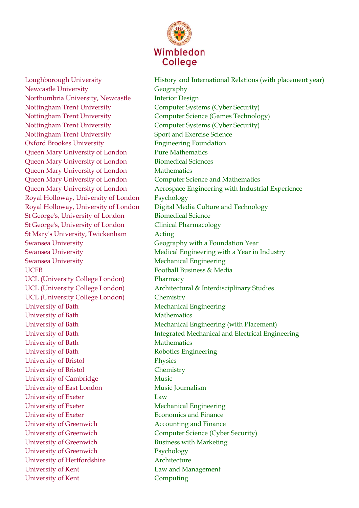

Newcastle University **Geography** Geography Northumbria University, Newcastle Interior Design Nottingham Trent University Computer Systems (Cyber Security) Nottingham Trent University Computer Systems (Cyber Security) Nottingham Trent University Sport and Exercise Science Oxford Brookes University Engineering Foundation Queen Mary University of London Pure Mathematics Queen Mary University of London Biomedical Sciences Queen Mary University of London Mathematics Queen Mary University of London Computer Science and Mathematics Royal Holloway, University of London Psychology St George's, University of London Biomedical Science St George's, University of London Clinical Pharmacology St Mary's University, Twickenham Acting Swansea University Geography with a Foundation Year Swansea University **Mechanical Engineering** UCFB Football Business & Media UCL (University College London) Pharmacy UCL (University College London) Chemistry University of Bath Mechanical Engineering University of Bath Mathematics University of Bath Mathematics University of Bath Robotics Engineering University of Bristol Physics University of Bristol Chemistry University of Cambridge Music University of East London Music Journalism University of Exeter Law University of Exeter Mechanical Engineering University of Exeter **Economics** and Finance University of Greenwich **Accounting and Finance** University of Greenwich Computer Science (Cyber Security) University of Greenwich Business with Marketing University of Greenwich Psychology University of Hertfordshire **Architecture** University of Kent Law and Management University of Kent Computing

Loughborough University **History and International Relations (with placement year)** Nottingham Trent University Computer Science (Games Technology) Queen Mary University of London Aerospace Engineering with Industrial Experience Royal Holloway, University of London Digital Media Culture and Technology Swansea University **Medical Engineering with a Year in Industry** Medical Engineering with a Year in Industry UCL (University College London) Architectural & Interdisciplinary Studies University of Bath Mechanical Engineering (with Placement) University of Bath Integrated Mechanical and Electrical Engineering